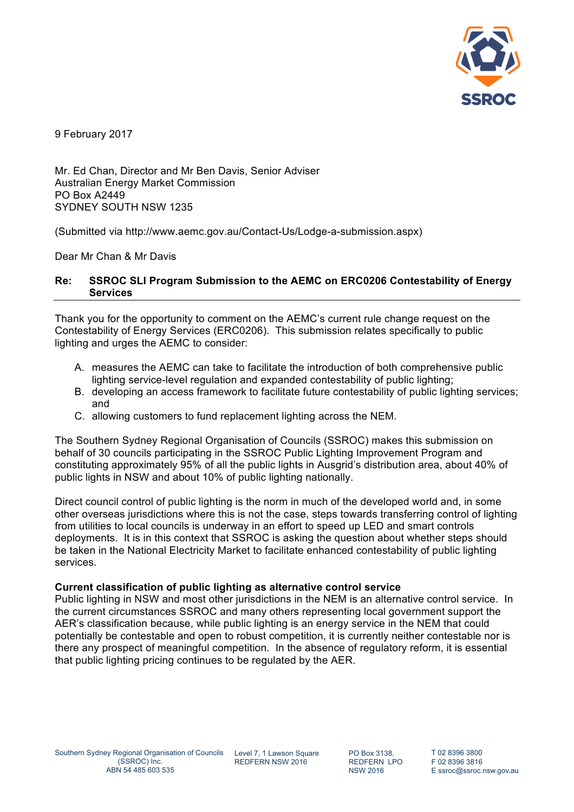

9 February 2017

Mr. Ed Chan, Director and Mr Ben Davis, Senior Adviser Australian Energy Market Commission PO Box A2449 SYDNEY SOUTH NSW 1235

(Submitted via http://www.aemc.gov.au/Contact-Us/Lodge-a-submission.aspx)

Dear Mr Chan & Mr Davis

# **Re: SSROC SLI Program Submission to the AEMC on ERC0206 Contestability of Energy Services**

Thank you for the opportunity to comment on the AEMC's current rule change request on the Contestability of Energy Services (ERC0206). This submission relates specifically to public lighting and urges the AEMC to consider:

- A. measures the AEMC can take to facilitate the introduction of both comprehensive public lighting service-level regulation and expanded contestability of public lighting;
- B. developing an access framework to facilitate future contestability of public lighting services; and
- C. allowing customers to fund replacement lighting across the NEM.

The Southern Sydney Regional Organisation of Councils (SSROC) makes this submission on behalf of 30 councils participating in the SSROC Public Lighting Improvement Program and constituting approximately 95% of all the public lights in Ausgrid's distribution area, about 40% of public lights in NSW and about 10% of public lighting nationally.

Direct council control of public lighting is the norm in much of the developed world and, in some other overseas jurisdictions where this is not the case, steps towards transferring control of lighting from utilities to local councils is underway in an effort to speed up LED and smart controls deployments. It is in this context that SSROC is asking the question about whether steps should be taken in the National Electricity Market to facilitate enhanced contestability of public lighting services.

### **Current classification of public lighting as alternative control service**

Public lighting in NSW and most other jurisdictions in the NEM is an alternative control service. In the current circumstances SSROC and many others representing local government support the AER's classification because, while public lighting is an energy service in the NEM that could potentially be contestable and open to robust competition, it is currently neither contestable nor is there any prospect of meaningful competition. In the absence of regulatory reform, it is essential that public lighting pricing continues to be regulated by the AER.

REDFERN NSW 2016

PO Box 3138, REDFERN LPO NSW 2016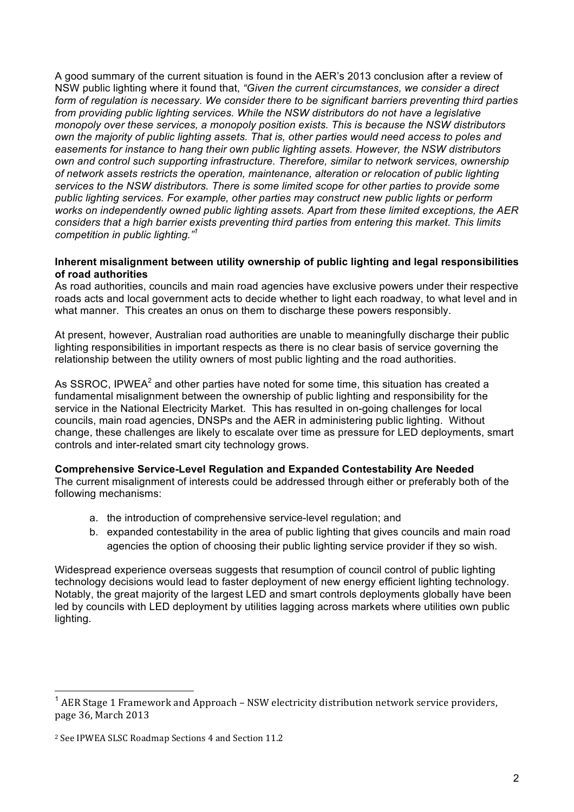A good summary of the current situation is found in the AER's 2013 conclusion after a review of NSW public lighting where it found that, *"Given the current circumstances, we consider a direct form of regulation is necessary. We consider there to be significant barriers preventing third parties from providing public lighting services. While the NSW distributors do not have a legislative monopoly over these services, a monopoly position exists. This is because the NSW distributors own the majority of public lighting assets. That is, other parties would need access to poles and easements for instance to hang their own public lighting assets. However, the NSW distributors own and control such supporting infrastructure. Therefore, similar to network services, ownership of network assets restricts the operation, maintenance, alteration or relocation of public lighting services to the NSW distributors. There is some limited scope for other parties to provide some public lighting services. For example, other parties may construct new public lights or perform works on independently owned public lighting assets. Apart from these limited exceptions, the AER considers that a high barrier exists preventing third parties from entering this market. This limits competition in public lighting."<sup>1</sup>*

### **Inherent misalignment between utility ownership of public lighting and legal responsibilities of road authorities**

As road authorities, councils and main road agencies have exclusive powers under their respective roads acts and local government acts to decide whether to light each roadway, to what level and in what manner. This creates an onus on them to discharge these powers responsibly.

At present, however, Australian road authorities are unable to meaningfully discharge their public lighting responsibilities in important respects as there is no clear basis of service governing the relationship between the utility owners of most public lighting and the road authorities.

As SSROC, IPWEA<sup>2</sup> and other parties have noted for some time, this situation has created a fundamental misalignment between the ownership of public lighting and responsibility for the service in the National Electricity Market. This has resulted in on-going challenges for local councils, main road agencies, DNSPs and the AER in administering public lighting. Without change, these challenges are likely to escalate over time as pressure for LED deployments, smart controls and inter-related smart city technology grows.

# **Comprehensive Service-Level Regulation and Expanded Contestability Are Needed**

The current misalignment of interests could be addressed through either or preferably both of the following mechanisms:

- a. the introduction of comprehensive service-level regulation; and
- b. expanded contestability in the area of public lighting that gives councils and main road agencies the option of choosing their public lighting service provider if they so wish.

Widespread experience overseas suggests that resumption of council control of public lighting technology decisions would lead to faster deployment of new energy efficient lighting technology. Notably, the great majority of the largest LED and smart controls deployments globally have been led by councils with LED deployment by utilities lagging across markets where utilities own public lighting.

AER Stage 1 Framework and Approach – NSW electricity distribution network service providers, page 36, March 2013

<sup>&</sup>lt;sup>2</sup> See IPWEA SLSC Roadmap Sections 4 and Section 11.2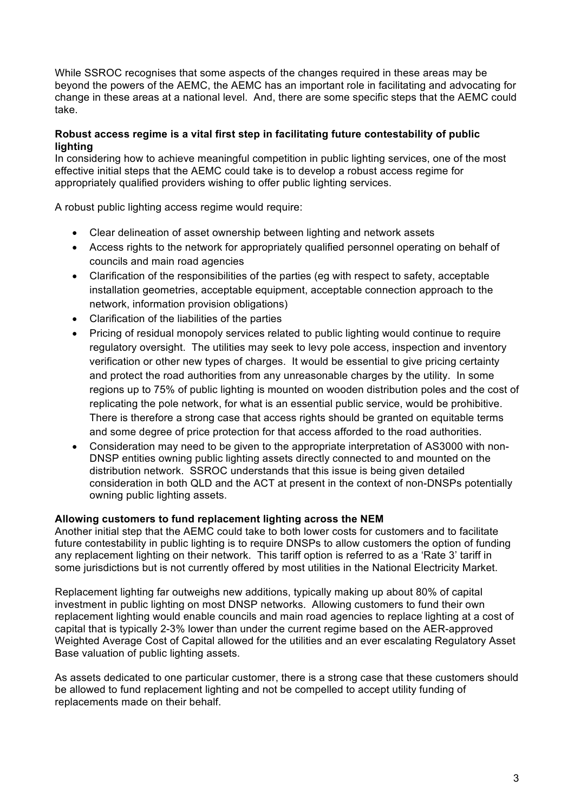While SSROC recognises that some aspects of the changes required in these areas may be beyond the powers of the AEMC, the AEMC has an important role in facilitating and advocating for change in these areas at a national level. And, there are some specific steps that the AEMC could take.

# **Robust access regime is a vital first step in facilitating future contestability of public lighting**

In considering how to achieve meaningful competition in public lighting services, one of the most effective initial steps that the AEMC could take is to develop a robust access regime for appropriately qualified providers wishing to offer public lighting services.

A robust public lighting access regime would require:

- Clear delineation of asset ownership between lighting and network assets
- Access rights to the network for appropriately qualified personnel operating on behalf of councils and main road agencies
- Clarification of the responsibilities of the parties (eg with respect to safety, acceptable installation geometries, acceptable equipment, acceptable connection approach to the network, information provision obligations)
- Clarification of the liabilities of the parties
- Pricing of residual monopoly services related to public lighting would continue to require regulatory oversight. The utilities may seek to levy pole access, inspection and inventory verification or other new types of charges. It would be essential to give pricing certainty and protect the road authorities from any unreasonable charges by the utility. In some regions up to 75% of public lighting is mounted on wooden distribution poles and the cost of replicating the pole network, for what is an essential public service, would be prohibitive. There is therefore a strong case that access rights should be granted on equitable terms and some degree of price protection for that access afforded to the road authorities.
- Consideration may need to be given to the appropriate interpretation of AS3000 with non-DNSP entities owning public lighting assets directly connected to and mounted on the distribution network. SSROC understands that this issue is being given detailed consideration in both QLD and the ACT at present in the context of non-DNSPs potentially owning public lighting assets.

# **Allowing customers to fund replacement lighting across the NEM**

Another initial step that the AEMC could take to both lower costs for customers and to facilitate future contestability in public lighting is to require DNSPs to allow customers the option of funding any replacement lighting on their network. This tariff option is referred to as a 'Rate 3' tariff in some jurisdictions but is not currently offered by most utilities in the National Electricity Market.

Replacement lighting far outweighs new additions, typically making up about 80% of capital investment in public lighting on most DNSP networks. Allowing customers to fund their own replacement lighting would enable councils and main road agencies to replace lighting at a cost of capital that is typically 2-3% lower than under the current regime based on the AER-approved Weighted Average Cost of Capital allowed for the utilities and an ever escalating Regulatory Asset Base valuation of public lighting assets.

As assets dedicated to one particular customer, there is a strong case that these customers should be allowed to fund replacement lighting and not be compelled to accept utility funding of replacements made on their behalf.